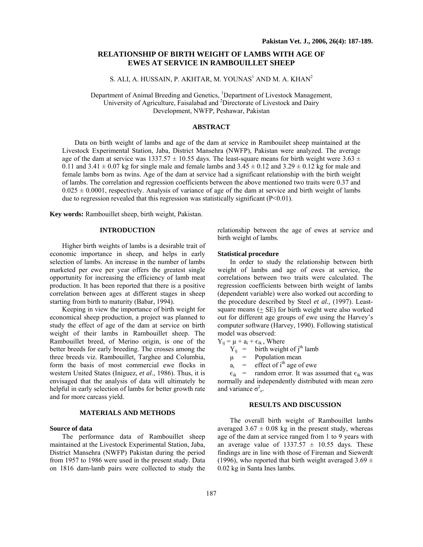# **RELATIONSHIP OF BIRTH WEIGHT OF LAMBS WITH AGE OF EWES AT SERVICE IN RAMBOUILLET SHEEP**

S. ALI, A. HUSSAIN, P. AKHTAR, M. YOUNAS $^1$  AND M. A. KHAN $^2$ 

Department of Animal Breeding and Genetics, <sup>1</sup>Department of Livestock Management, University of Agriculture, Faisalabad and <sup>2</sup>Directorate of Livestock and Dairy Development, NWFP, Peshawar, Pakistan

## **ABSTRACT**

Data on birth weight of lambs and age of the dam at service in Rambouilet sheep maintained at the Livestock Experimental Station, Jaba, District Mansehra (NWFP), Pakistan were analyzed. The average age of the dam at service was  $1337.57 \pm 10.55$  days. The least-square means for birth weight were  $3.63 \pm 10.55$ 0.11 and 3.41  $\pm$  0.07 kg for single male and female lambs and 3.45  $\pm$  0.12 and 3.29  $\pm$  0.12 kg for male and female lambs born as twins. Age of the dam at service had a significant relationship with the birth weight of lambs. The correlation and regression coefficients between the above mentioned two traits were 0.37 and  $0.025 \pm 0.0001$ , respectively. Analysis of variance of age of the dam at service and birth weight of lambs due to regression revealed that this regression was statistically significant  $(P<0.01)$ .

**Key words:** Rambouillet sheep, birth weight, Pakistan.

#### **INTRODUCTION**

Higher birth weights of lambs is a desirable trait of economic importance in sheep, and helps in early selection of lambs. An increase in the number of lambs marketed per ewe per year offers the greatest single opportunity for increasing the efficiency of lamb meat production. It has been reported that there is a positive correlation between ages at different stages in sheep starting from birth to maturity (Babar, 1994).

Keeping in view the importance of birth weight for economical sheep production, a project was planned to study the effect of age of the dam at service on birth weight of their lambs in Rambouillet sheep. The Rambouillet breed, of Merino origin, is one of the better breeds for early breeding. The crosses among the three breeds viz. Rambouillet, Targhee and Columbia, form the basis of most commercial ewe flocks in western United States (Iniguez, *et al*., 1986). Thus, it is envisaged that the analysis of data will ultimately be helpful in early selection of lambs for better growth rate and for more carcass yield.

#### **MATERIALS AND METHODS**

### **Source of data**

The performance data of Rambouillet sheep maintained at the Livestock Experimental Station, Jaba, District Mansehra (NWFP) Pakistan during the period from 1957 to 1986 were used in the present study. Data on 1816 dam-lamb pairs were collected to study the relationship between the age of ewes at service and birth weight of lambs.

## **Statistical procedure**

In order to study the relationship between birth weight of lambs and age of ewes at service, the correlations between two traits were calculated. The regression coefficients between birth weight of lambs (dependent variable) were also worked out according to the procedure described by Steel *et al.,* (1997). Leastsquare means  $(+ \text{SE})$  for birth weight were also worked out for different age groups of ewe using the Harvey's computer software (Harvey, 1990). Following statistical model was observed:

 $Y_{ij} = \mu + a_i + \epsilon_{ik}$ , Where

 $Y_{ij}$  = birth weight of j<sup>th</sup> lamb

 $\mu$  = Population mean

 $a_i$  = effect of i<sup>th</sup> age of ewe

 $\epsilon_{ik}$  = random error. It was assumed that  $\epsilon_{ik}$  was normally and independently distributed with mean zero and variance  $\sigma^2$ <sub>e</sub>.

#### **RESULTS AND DISCUSSION**

The overall birth weight of Rambouillet lambs averaged  $3.67 \pm 0.08$  kg in the present study, whereas age of the dam at service ranged from 1 to 9 years with an average value of  $1337.57 \pm 10.55$  days. These findings are in line with those of Fireman and Siewerdt (1996), who reported that birth weight averaged  $3.69 \pm$ 0.02 kg in Santa Ines lambs.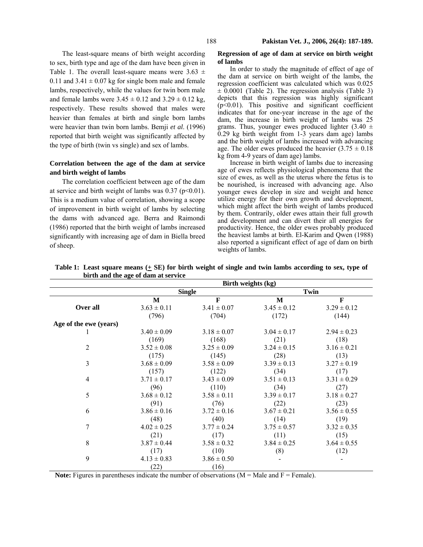The least-square means of birth weight according to sex, birth type and age of the dam have been given in Table 1. The overall least-square means were  $3.63 \pm$ 0.11 and  $3.41 \pm 0.07$  kg for single born male and female lambs, respectively, while the values for twin born male and female lambs were  $3.45 \pm 0.12$  and  $3.29 \pm 0.12$  kg, respectively. These results showed that males were heavier than females at birth and single born lambs were heavier than twin born lambs. Bemji *et al*. (1996) reported that birth weight was significantly affected by the type of birth (twin vs single) and sex of lambs.

# **Correlation between the age of the dam at service and birth weight of lambs**

The correlation coefficient between age of the dam at service and birth weight of lambs was  $0.37$  (p<0.01). This is a medium value of correlation, showing a scope of improvement in birth weight of lambs by selecting the dams with advanced age. Berra and Raimondi (1986) reported that the birth weight of lambs increased significantly with increasing age of dam in Biella breed of sheep.

### **Regression of age of dam at service on birth weight of lambs**

In order to study the magnitude of effect of age of the dam at service on birth weight of the lambs, the regression coefficient was calculated which was 0.025  $\pm$  0.0001 (Table 2). The regression analysis (Table 3) depicts that this regression was highly significant (p<0.01). This positive and significant coefficient indicates that for one-year increase in the age of the dam, the increase in birth weight of lambs was 25 grams. Thus, younger ewes produced lighter  $(3.40 \pm$ 0.29 kg birth weight from 1-3 years dam age) lambs and the birth weight of lambs increased with advancing age. The older ewes produced the heavier  $(3.75 \pm 0.18)$ kg from 4-9 years of dam age) lambs.

Increase in birth weight of lambs due to increasing age of ewes reflects physiological phenomena that the size of ewes, as well as the uterus where the fetus is to be nourished, is increased with advancing age. Also younger ewes develop in size and weight and hence utilize energy for their own growth and development, which might affect the birth weight of lambs produced by them. Contrarily, older ewes attain their full growth and development and can divert their all energies for productivity. Hence, the older ewes probably produced the heaviest lambs at birth. El-Karim and Qwen (1988) also reported a significant effect of age of dam on birth weights of lambs.

|                        | Birth weights (kg) |                 |                 |                 |  |
|------------------------|--------------------|-----------------|-----------------|-----------------|--|
|                        | <b>Single</b>      |                 | Twin            |                 |  |
|                        | M                  | $\mathbf{F}$    | M               | F               |  |
| Over all               | $3.63 \pm 0.11$    | $3.41 \pm 0.07$ | $3.45 \pm 0.12$ | $3.29 \pm 0.12$ |  |
|                        | (796)              | (704)           | (172)           | (144)           |  |
| Age of the ewe (years) |                    |                 |                 |                 |  |
|                        | $3.40 \pm 0.09$    | $3.18 \pm 0.07$ | $3.04 \pm 0.17$ | $2.94 \pm 0.23$ |  |
|                        | (169)              | (168)           | (21)            | (18)            |  |
| $\overline{2}$         | $3.52 \pm 0.08$    | $3.25 \pm 0.09$ | $3.24 \pm 0.15$ | $3.16 \pm 0.21$ |  |
|                        | (175)              | (145)           | (28)            | (13)            |  |
| 3                      | $3.68 \pm 0.09$    | $3.58 \pm 0.09$ | $3.39 \pm 0.13$ | $3.27 \pm 0.19$ |  |
|                        | (157)              | (122)           | (34)            | (17)            |  |
| $\overline{4}$         | $3.71 \pm 0.17$    | $3.43 \pm 0.09$ | $3.51 \pm 0.13$ | $3.31 \pm 0.29$ |  |
|                        | (96)               | (110)           | (34)            | (27)            |  |
| 5                      | $3.68 \pm 0.12$    | $3.58 \pm 0.11$ | $3.39 \pm 0.17$ | $3.18 \pm 0.27$ |  |
|                        | (91)               | (76)            | (22)            | (23)            |  |
| 6                      | $3.86 \pm 0.16$    | $3.72 \pm 0.16$ | $3.67 \pm 0.21$ | $3.56 \pm 0.55$ |  |
|                        | (48)               | (40)            | (14)            | (19)            |  |
| 7                      | $4.02 \pm 0.25$    | $3.77 \pm 0.24$ | $3.75 \pm 0.57$ | $3.32 \pm 0.35$ |  |
|                        | (21)               | (17)            | (11)            | (15)            |  |
| 8                      | $3.87 \pm 0.44$    | $3.58 \pm 0.32$ | $3.84 \pm 0.25$ | $3.64 \pm 0.55$ |  |
|                        | (17)               | (10)            | (8)             | (12)            |  |
| 9                      | $4.13 \pm 0.83$    | $3.86 \pm 0.50$ |                 |                 |  |
|                        | (22)               | (16)            |                 |                 |  |

Table 1: Least square means  $(\pm S\mathbf{E})$  for birth weight of single and twin lambs according to sex, type of **birth and the age of dam at service** 

**Note:** Figures in parentheses indicate the number of observations ( $M = Male$  and  $F = Female$ ).